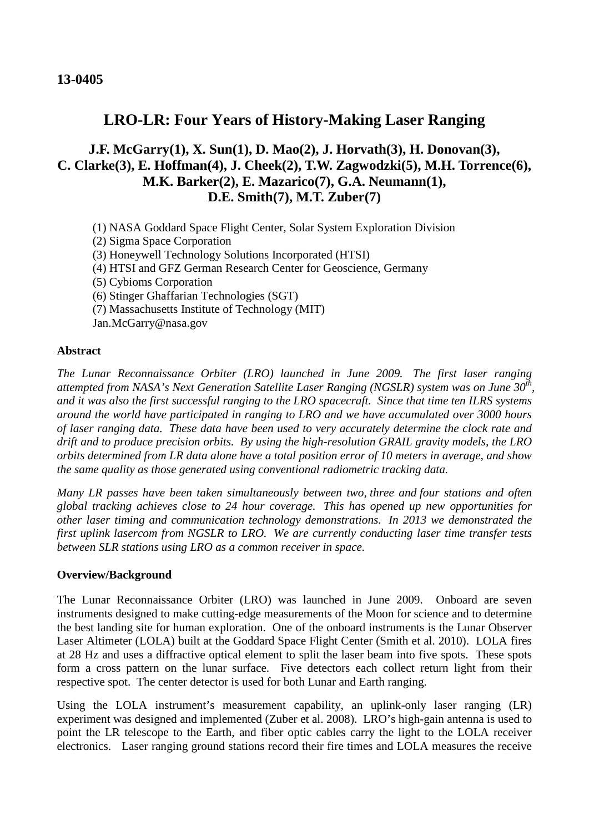# **LRO-LR: Four Years of History-Making Laser Ranging**

# **J.F. McGarry(1), X. Sun(1), D. Mao(2), J. Horvath(3), H. Donovan(3), C. Clarke(3), E. Hoffman(4), J. Cheek(2), T.W. Zagwodzki(5), M.H. Torrence(6), M.K. Barker(2), E. Mazarico(7), G.A. Neumann(1), D.E. Smith(7), M.T. Zuber(7)**

(1) NASA Goddard Space Flight Center, Solar System Exploration Division

(2) Sigma Space Corporation

(3) Honeywell Technology Solutions Incorporated (HTSI)

(4) HTSI and GFZ German Research Center for Geoscience, Germany

(5) Cybioms Corporation

(6) Stinger Ghaffarian Technologies (SGT)

(7) Massachusetts Institute of Technology (MIT)

Jan.McGarry@nasa.gov

### **Abstract**

*The Lunar Reconnaissance Orbiter (LRO) launched in June 2009. The first laser ranging attempted from NASA's Next Generation Satellite Laser Ranging (NGSLR) system was on June 30th, and it was also the first successful ranging to the LRO spacecraft. Since that time ten ILRS systems around the world have participated in ranging to LRO and we have accumulated over 3000 hours of laser ranging data. These data have been used to very accurately determine the clock rate and drift and to produce precision orbits. By using the high-resolution GRAIL gravity models, the LRO orbits determined from LR data alone have a total position error of 10 meters in average, and show the same quality as those generated using conventional radiometric tracking data.*

*Many LR passes have been taken simultaneously between two, three and four stations and often global tracking achieves close to 24 hour coverage. This has opened up new opportunities for other laser timing and communication technology demonstrations. In 2013 we demonstrated the first uplink lasercom from NGSLR to LRO. We are currently conducting laser time transfer tests between SLR stations using LRO as a common receiver in space.*

## **Overview/Background**

The Lunar Reconnaissance Orbiter (LRO) was launched in June 2009. Onboard are seven instruments designed to make cutting-edge measurements of the Moon for science and to determine the best landing site for human exploration. One of the onboard instruments is the Lunar Observer Laser Altimeter (LOLA) built at the Goddard Space Flight Center (Smith et al. 2010). LOLA fires at 28 Hz and uses a diffractive optical element to split the laser beam into five spots. These spots form a cross pattern on the lunar surface. Five detectors each collect return light from their respective spot. The center detector is used for both Lunar and Earth ranging.

Using the LOLA instrument's measurement capability, an uplink-only laser ranging (LR) experiment was designed and implemented (Zuber et al. 2008). LRO's high-gain antenna is used to point the LR telescope to the Earth, and fiber optic cables carry the light to the LOLA receiver electronics. Laser ranging ground stations record their fire times and LOLA measures the receive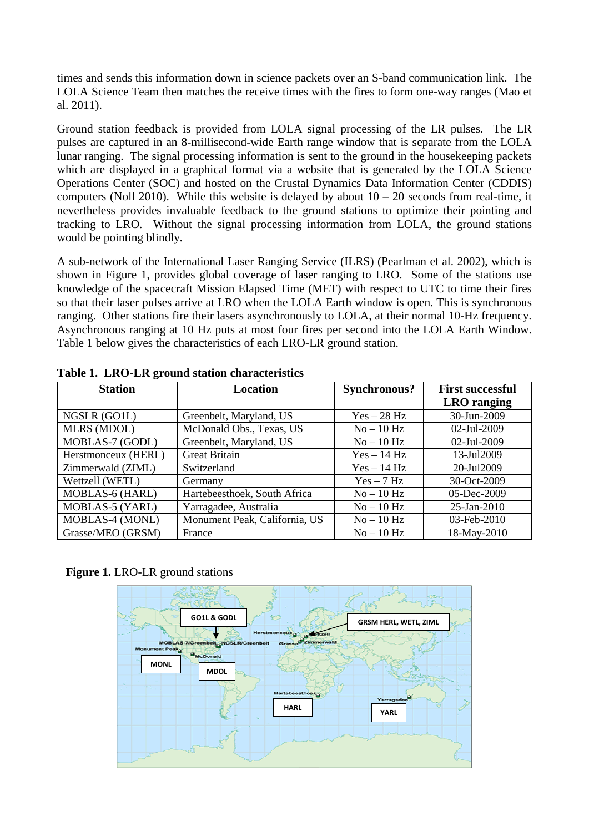times and sends this information down in science packets over an S-band communication link. The LOLA Science Team then matches the receive times with the fires to form one-way ranges (Mao et al. 2011).

Ground station feedback is provided from LOLA signal processing of the LR pulses. The LR pulses are captured in an 8-millisecond-wide Earth range window that is separate from the LOLA lunar ranging. The signal processing information is sent to the ground in the housekeeping packets which are displayed in a graphical format via a website that is generated by the LOLA Science Operations Center (SOC) and hosted on the Crustal Dynamics Data Information Center (CDDIS) computers (Noll 2010). While this website is delayed by about  $10 - 20$  seconds from real-time, it nevertheless provides invaluable feedback to the ground stations to optimize their pointing and tracking to LRO. Without the signal processing information from LOLA, the ground stations would be pointing blindly.

A sub-network of the International Laser Ranging Service (ILRS) (Pearlman et al. 2002), which is shown in Figure 1, provides global coverage of laser ranging to LRO. Some of the stations use knowledge of the spacecraft Mission Elapsed Time (MET) with respect to UTC to time their fires so that their laser pulses arrive at LRO when the LOLA Earth window is open. This is synchronous ranging. Other stations fire their lasers asynchronously to LOLA, at their normal 10-Hz frequency. Asynchronous ranging at 10 Hz puts at most four fires per second into the LOLA Earth Window. Table 1 below gives the characteristics of each LRO-LR ground station.

| <b>Station</b>         | <b>Location</b>               | <b>Synchronous?</b> | <b>First successful</b> |  |
|------------------------|-------------------------------|---------------------|-------------------------|--|
|                        |                               |                     | <b>LRO</b> ranging      |  |
| NGSLR (GO1L)           | Greenbelt, Maryland, US       | $Yes - 28 Hz$       | 30-Jun-2009             |  |
| <b>MLRS (MDOL)</b>     | McDonald Obs., Texas, US      | $No-10 Hz$          | 02-Jul-2009             |  |
| MOBLAS-7 (GODL)        | Greenbelt, Maryland, US       | $No-10 Hz$          | 02-Jul-2009             |  |
| Herstmonceux (HERL)    | <b>Great Britain</b>          | $Yes-14 Hz$         | 13-Jul2009              |  |
| Zimmerwald (ZIML)      | Switzerland                   | $Yes - 14 Hz$       | 20-Jul2009              |  |
| Wettzell (WETL)        | Germany                       | $Yes-7 Hz$          | 30-Oct-2009             |  |
| <b>MOBLAS-6 (HARL)</b> | Hartebeesthoek, South Africa  | $No-10 Hz$          | 05-Dec-2009             |  |
| MOBLAS-5 (YARL)        | Yarragadee, Australia         | $No-10 Hz$          | 25-Jan-2010             |  |
| MOBLAS-4 (MONL)        | Monument Peak, California, US | $No-10 Hz$          | 03-Feb-2010             |  |
| Grasse/MEO (GRSM)      | France                        | $No-10 Hz$          | 18-May-2010             |  |

**Table 1. LRO-LR ground station characteristics**

**Figure 1.** LRO-LR ground stations

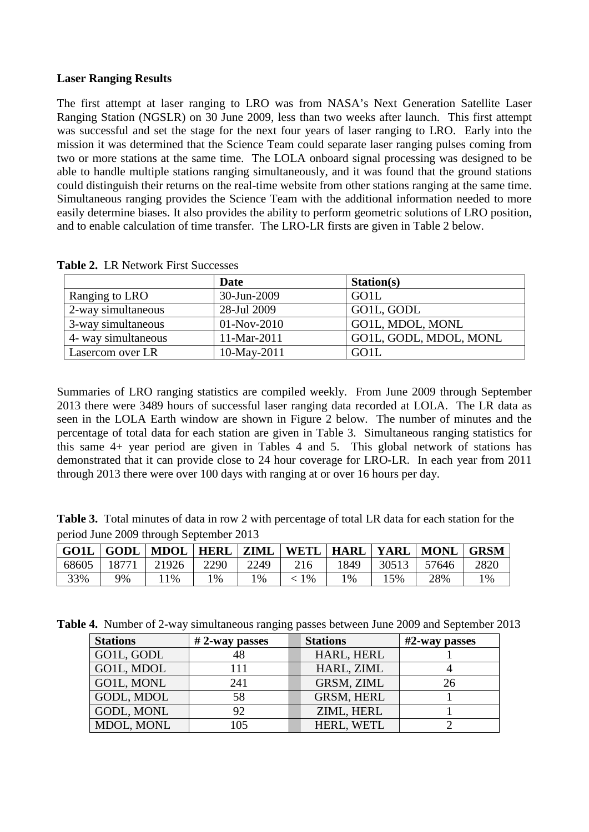#### **Laser Ranging Results**

The first attempt at laser ranging to LRO was from NASA's Next Generation Satellite Laser Ranging Station (NGSLR) on 30 June 2009, less than two weeks after launch. This first attempt was successful and set the stage for the next four years of laser ranging to LRO. Early into the mission it was determined that the Science Team could separate laser ranging pulses coming from two or more stations at the same time. The LOLA onboard signal processing was designed to be able to handle multiple stations ranging simultaneously, and it was found that the ground stations could distinguish their returns on the real-time website from other stations ranging at the same time. Simultaneous ranging provides the Science Team with the additional information needed to more easily determine biases. It also provides the ability to perform geometric solutions of LRO position, and to enable calculation of time transfer. The LRO-LR firsts are given in Table 2 below.

|                     | <b>Date</b>   | <b>Station(s)</b>      |
|---------------------|---------------|------------------------|
| Ranging to LRO      | 30-Jun-2009   | <b>GO1L</b>            |
| 2-way simultaneous  | 28-Jul 2009   | GO1L, GODL             |
| 3-way simultaneous  | $01-Nov-2010$ | GO1L, MDOL, MONL       |
| 4- way simultaneous | 11-Mar-2011   | GO1L, GODL, MDOL, MONL |
| Lasercom over LR    | 10-May-2011   | GO1L                   |

**Table 2.** LR Network First Successes

Summaries of LRO ranging statistics are compiled weekly. From June 2009 through September 2013 there were 3489 hours of successful laser ranging data recorded at LOLA. The LR data as seen in the LOLA Earth window are shown in Figure 2 below. The number of minutes and the percentage of total data for each station are given in Table 3. Simultaneous ranging statistics for this same 4+ year period are given in Tables 4 and 5. This global network of stations has demonstrated that it can provide close to 24 hour coverage for LRO-LR. In each year from 2011 through 2013 there were over 100 days with ranging at or over 16 hours per day.

| <b>Table 3.</b> Total minutes of data in row 2 with percentage of total LR data for each station for the |  |  |  |  |
|----------------------------------------------------------------------------------------------------------|--|--|--|--|
| period June 2009 through September 2013                                                                  |  |  |  |  |

| <b>GO1L</b> | <b>GODL</b> | <b>MDOL</b> | <b>HERL</b> | ZIML   |     | WETL   HARL | <b>YARL</b> | MONL   GRSM |       |
|-------------|-------------|-------------|-------------|--------|-----|-------------|-------------|-------------|-------|
| 68605       | 18771       | 21926       | 2290        | 2249   | 216 | 1849        | 30513       | 57646       | 2820  |
| 33%         | 9%          | 1%          | 1%          | $^1\%$ | 1%  | 1%          | 15%         | 28%         | $1\%$ |

**Table 4.** Number of 2-way simultaneous ranging passes between June 2009 and September 2013

| <b>Stations</b>   | $# 2$ -way passes | <b>Stations</b>   | $#2$ -way passes |
|-------------------|-------------------|-------------------|------------------|
| GO1L, GODL        | 48                | HARL, HERL        |                  |
| GO1L, MDOL        | 111               | HARL, ZIML        |                  |
| GO1L, MONL        | 241               | GRSM, ZIML        | 26               |
| GODL, MDOL        | 58                | <b>GRSM, HERL</b> |                  |
| <b>GODL, MONL</b> | 92                | ZIML, HERL        |                  |
| MDOL, MONL        | 105               | HERL, WETL        |                  |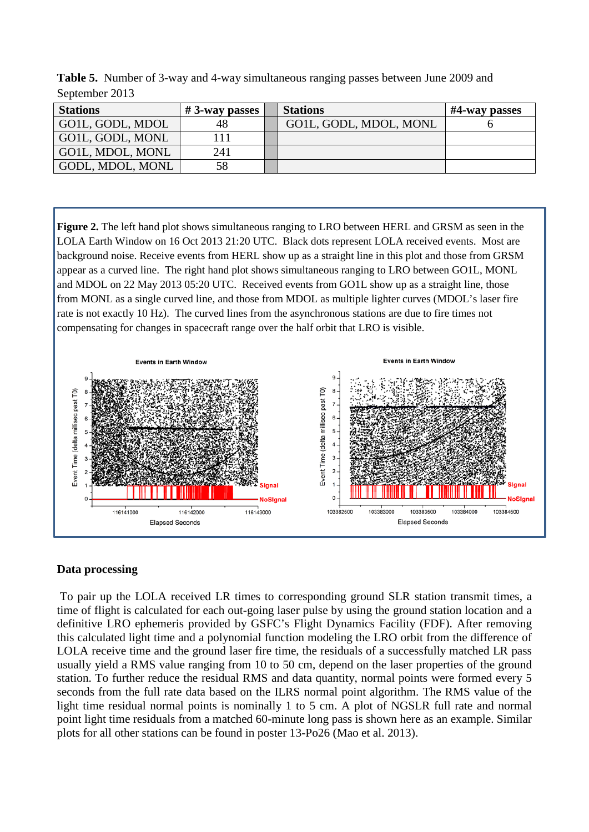| $\omega \nu \nu \mu \nu \nu \nu \nu$ |                    |  |                        |               |  |  |  |
|--------------------------------------|--------------------|--|------------------------|---------------|--|--|--|
| <b>Stations</b>                      | $\# 3$ -way passes |  | <b>Stations</b>        | #4-way passes |  |  |  |
| GO1L, GODL, MDOL                     | 48                 |  | GO1L, GODL, MDOL, MONL |               |  |  |  |
| GO1L, GODL, MONL                     | 111                |  |                        |               |  |  |  |
| GO1L, MDOL, MONL                     | 241                |  |                        |               |  |  |  |
| GODL, MDOL, MONL                     | 58                 |  |                        |               |  |  |  |

**Table 5.** Number of 3-way and 4-way simultaneous ranging passes between June 2009 and September 2013

**Figure 2.** The left hand plot shows simultaneous ranging to LRO between HERL and GRSM as seen in the LOLA Earth Window on 16 Oct 2013 21:20 UTC. Black dots represent LOLA received events. Most are background noise. Receive events from HERL show up as a straight line in this plot and those from GRSM appear as a curved line. The right hand plot shows simultaneous ranging to LRO between GO1L, MONL and MDOL on 22 May 2013 05:20 UTC. Received events from GO1L show up as a straight line, those from MONL as a single curved line, and those from MDOL as multiple lighter curves (MDOL's laser fire rate is not exactly 10 Hz). The curved lines from the asynchronous stations are due to fire times not compensating for changes in spacecraft range over the half orbit that LRO is visible.



#### **Data processing**

To pair up the LOLA received LR times to corresponding ground SLR station transmit times, a time of flight is calculated for each out-going laser pulse by using the ground station location and a definitive LRO ephemeris provided by GSFC's Flight Dynamics Facility (FDF). After removing this calculated light time and a polynomial function modeling the LRO orbit from the difference of LOLA receive time and the ground laser fire time, the residuals of a successfully matched LR pass usually yield a RMS value ranging from 10 to 50 cm, depend on the laser properties of the ground station. To further reduce the residual RMS and data quantity, normal points were formed every 5 seconds from the full rate data based on the ILRS normal point algorithm. The RMS value of the light time residual normal points is nominally 1 to 5 cm. A plot of NGSLR full rate and normal point light time residuals from a matched 60-minute long pass is shown here as an example. Similar plots for all other stations can be found in poster 13-Po26 (Mao et al. 2013).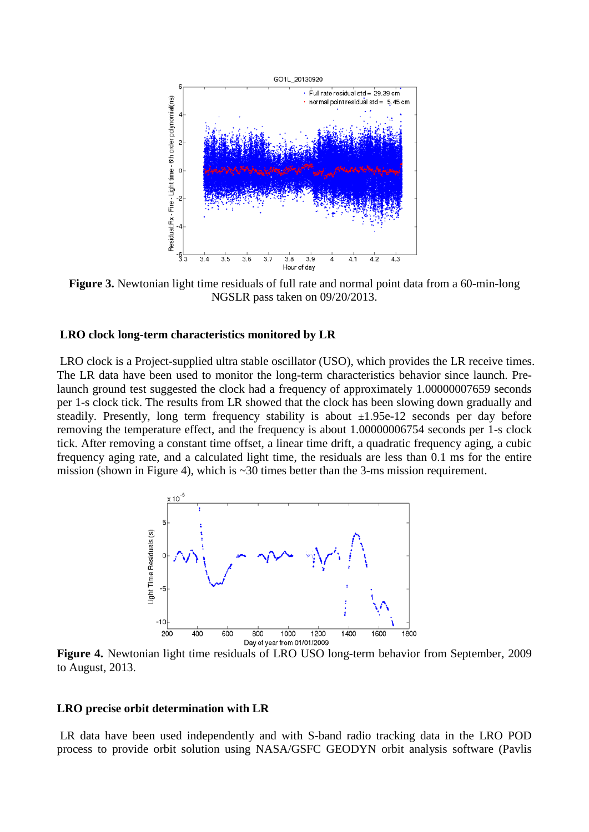

**Figure 3.** Newtonian light time residuals of full rate and normal point data from a 60-min-long NGSLR pass taken on 09/20/2013.

#### **LRO clock long-term characteristics monitored by LR**

LRO clock is a Project-supplied ultra stable oscillator (USO), which provides the LR receive times. The LR data have been used to monitor the long-term characteristics behavior since launch. Prelaunch ground test suggested the clock had a frequency of approximately 1.00000007659 seconds per 1-s clock tick. The results from LR showed that the clock has been slowing down gradually and steadily. Presently, long term frequency stability is about  $\pm 1.95e-12$  seconds per day before removing the temperature effect, and the frequency is about 1.00000006754 seconds per 1-s clock tick. After removing a constant time offset, a linear time drift, a quadratic frequency aging, a cubic frequency aging rate, and a calculated light time, the residuals are less than 0.1 ms for the entire mission (shown in Figure 4), which is ~30 times better than the 3-ms mission requirement.



**Figure 4.** Newtonian light time residuals of LRO USO long-term behavior from September, 2009 to August, 2013.

#### **LRO precise orbit determination with LR**

LR data have been used independently and with S-band radio tracking data in the LRO POD process to provide orbit solution using NASA/GSFC GEODYN orbit analysis software (Pavlis